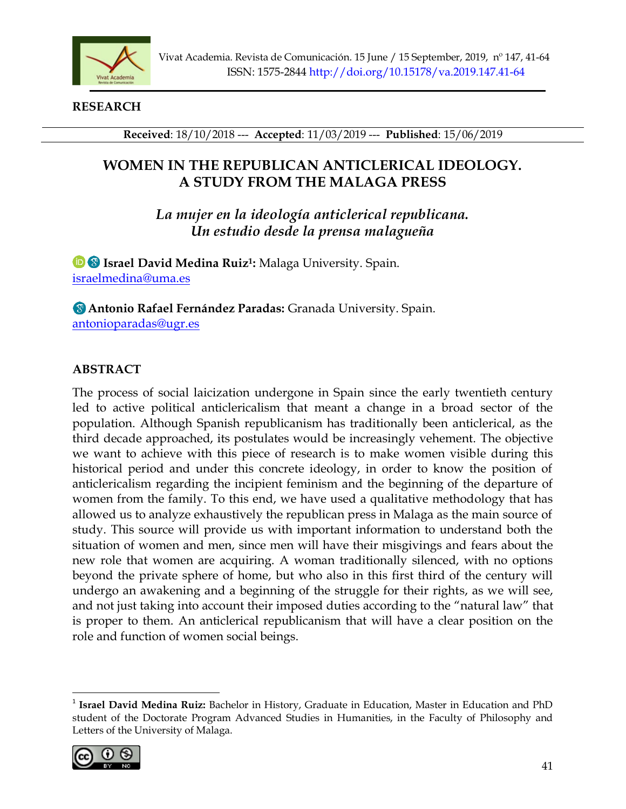

**RESEARCH**

**Received**: 18/10/2018 --- **Accepted**: 11/03/2019 --- **Published**: 15/06/2019

# **WOMEN IN THE REPUBLICAN ANTICLERICAL IDEOLOGY. A STUDY FROM THE MALAGA PRESS**

*La mujer en la ideología anticlerical republicana. Un estudio desde la prensa malagueña*

**Israel David Medina Ruiz<sup>1</sup> :** Malaga University. Spain. [israelmedina@uma.es](mailto:israelmedina@uma.es)

**Antonio Rafael Fernández Paradas:** Granada University. Spain. [antonioparadas@ugr.es](mailto:antonioparadas@ugr.es)

# **ABSTRACT**

The process of social laicization undergone in Spain since the early twentieth century led to active political anticlericalism that meant a change in a broad sector of the population. Although Spanish republicanism has traditionally been anticlerical, as the third decade approached, its postulates would be increasingly vehement. The objective we want to achieve with this piece of research is to make women visible during this historical period and under this concrete ideology, in order to know the position of anticlericalism regarding the incipient feminism and the beginning of the departure of women from the family. To this end, we have used a qualitative methodology that has allowed us to analyze exhaustively the republican press in Malaga as the main source of study. This source will provide us with important information to understand both the situation of women and men, since men will have their misgivings and fears about the new role that women are acquiring. A woman traditionally silenced, with no options beyond the private sphere of home, but who also in this first third of the century will undergo an awakening and a beginning of the struggle for their rights, as we will see, and not just taking into account their imposed duties according to the "natural law" that is proper to them. An anticlerical republicanism that will have a clear position on the role and function of women social beings.

<sup>&</sup>lt;sup>1</sup> Israel David Medina Ruiz: Bachelor in History, Graduate in Education, Master in Education and PhD student of the Doctorate Program Advanced Studies in Humanities, in the Faculty of Philosophy and Letters of the University of Malaga.

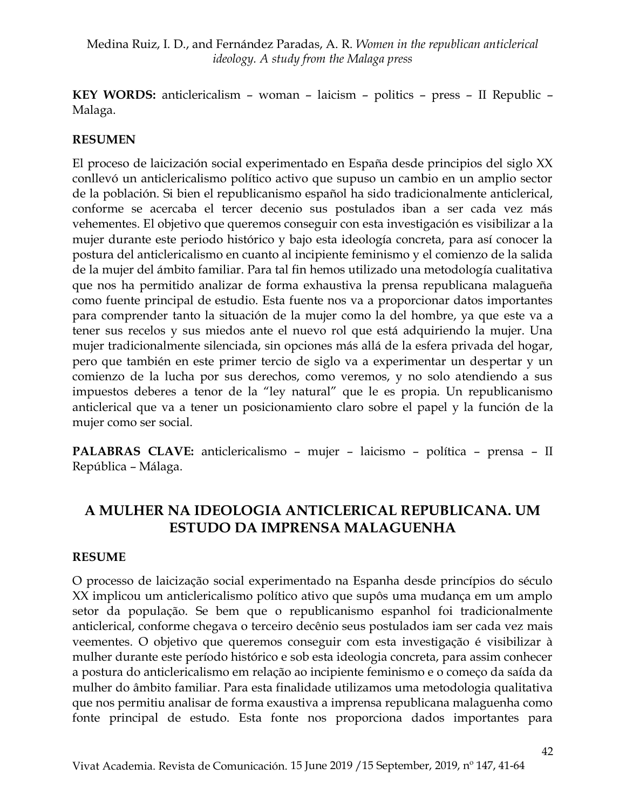**KEY WORDS:** anticlericalism – woman – laicism – politics – press – II Republic – Malaga.

## **RESUMEN**

El proceso de laicización social experimentado en España desde principios del siglo XX conllevó un anticlericalismo político activo que supuso un cambio en un amplio sector de la población. Si bien el republicanismo español ha sido tradicionalmente anticlerical, conforme se acercaba el tercer decenio sus postulados iban a ser cada vez más vehementes. El objetivo que queremos conseguir con esta investigación es visibilizar a la mujer durante este periodo histórico y bajo esta ideología concreta, para así conocer la postura del anticlericalismo en cuanto al incipiente feminismo y el comienzo de la salida de la mujer del ámbito familiar. Para tal fin hemos utilizado una metodología cualitativa que nos ha permitido analizar de forma exhaustiva la prensa republicana malagueña como fuente principal de estudio. Esta fuente nos va a proporcionar datos importantes para comprender tanto la situación de la mujer como la del hombre, ya que este va a tener sus recelos y sus miedos ante el nuevo rol que está adquiriendo la mujer. Una mujer tradicionalmente silenciada, sin opciones más allá de la esfera privada del hogar, pero que también en este primer tercio de siglo va a experimentar un despertar y un comienzo de la lucha por sus derechos, como veremos, y no solo atendiendo a sus impuestos deberes a tenor de la "ley natural" que le es propia. Un republicanismo anticlerical que va a tener un posicionamiento claro sobre el papel y la función de la mujer como ser social.

**PALABRAS CLAVE:** anticlericalismo – mujer – laicismo – política – prensa – II República – Málaga.

# **A MULHER NA IDEOLOGIA ANTICLERICAL REPUBLICANA. UM ESTUDO DA IMPRENSA MALAGUENHA**

#### **RESUME**

O processo de laicização social experimentado na Espanha desde princípios do século XX implicou um anticlericalismo político ativo que supôs uma mudança em um amplo setor da população. Se bem que o republicanismo espanhol foi tradicionalmente anticlerical, conforme chegava o terceiro decênio seus postulados iam ser cada vez mais veementes. O objetivo que queremos conseguir com esta investigação é visibilizar à mulher durante este período histórico e sob esta ideologia concreta, para assim conhecer a postura do anticlericalismo em relação ao incipiente feminismo e o começo da saída da mulher do âmbito familiar. Para esta finalidade utilizamos uma metodologia qualitativa que nos permitiu analisar de forma exaustiva a imprensa republicana malaguenha como fonte principal de estudo. Esta fonte nos proporciona dados importantes para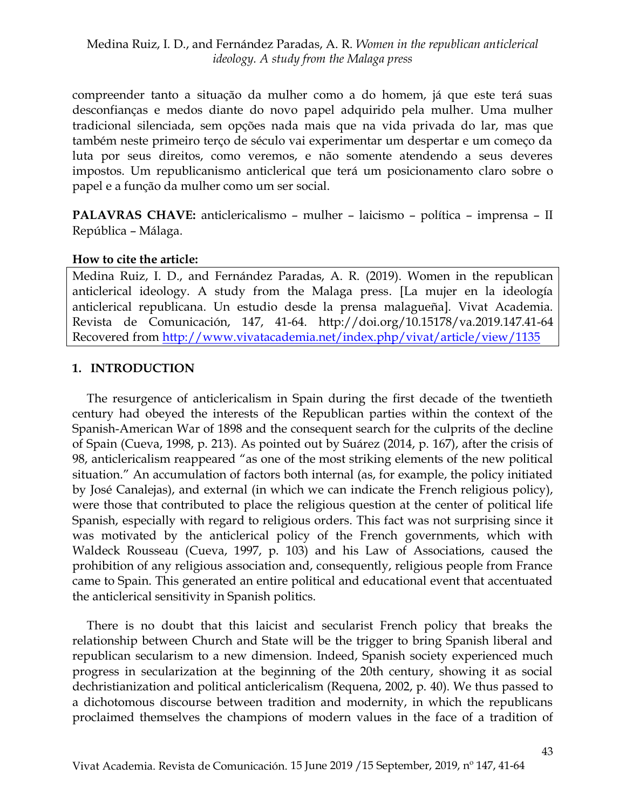compreender tanto a situação da mulher como a do homem, já que este terá suas desconfianças e medos diante do novo papel adquirido pela mulher. Uma mulher tradicional silenciada, sem opções nada mais que na vida privada do lar, mas que também neste primeiro terço de século vai experimentar um despertar e um começo da luta por seus direitos, como veremos, e não somente atendendo a seus deveres impostos. Um republicanismo anticlerical que terá um posicionamento claro sobre o papel e a função da mulher como um ser social.

**PALAVRAS CHAVE:** anticlericalismo – mulher – laicismo – política – imprensa – II República – Málaga.

#### **How to cite the article:**

Medina Ruiz, I. D., and Fernández Paradas, A. R. (2019). Women in the republican anticlerical ideology. A study from the Malaga press. [La mujer en la ideología anticlerical republicana. Un estudio desde la prensa malagueña]. Vivat Academia. Revista de Comunicación, 147, 41-64. http://doi.org/10.15178/va.2019.147.41-64 Recovered from <http://www.vivatacademia.net/index.php/vivat/article/view/1135>

## **1. INTRODUCTION**

The resurgence of anticlericalism in Spain during the first decade of the twentieth century had obeyed the interests of the Republican parties within the context of the Spanish-American War of 1898 and the consequent search for the culprits of the decline of Spain (Cueva, 1998, p. 213). As pointed out by Suárez (2014, p. 167), after the crisis of 98, anticlericalism reappeared "as one of the most striking elements of the new political situation." An accumulation of factors both internal (as, for example, the policy initiated by José Canalejas), and external (in which we can indicate the French religious policy), were those that contributed to place the religious question at the center of political life Spanish, especially with regard to religious orders. This fact was not surprising since it was motivated by the anticlerical policy of the French governments, which with Waldeck Rousseau (Cueva, 1997, p. 103) and his Law of Associations, caused the prohibition of any religious association and, consequently, religious people from France came to Spain. This generated an entire political and educational event that accentuated the anticlerical sensitivity in Spanish politics.

There is no doubt that this laicist and secularist French policy that breaks the relationship between Church and State will be the trigger to bring Spanish liberal and republican secularism to a new dimension. Indeed, Spanish society experienced much progress in secularization at the beginning of the 20th century, showing it as social dechristianization and political anticlericalism (Requena, 2002, p. 40). We thus passed to a dichotomous discourse between tradition and modernity, in which the republicans proclaimed themselves the champions of modern values in the face of a tradition of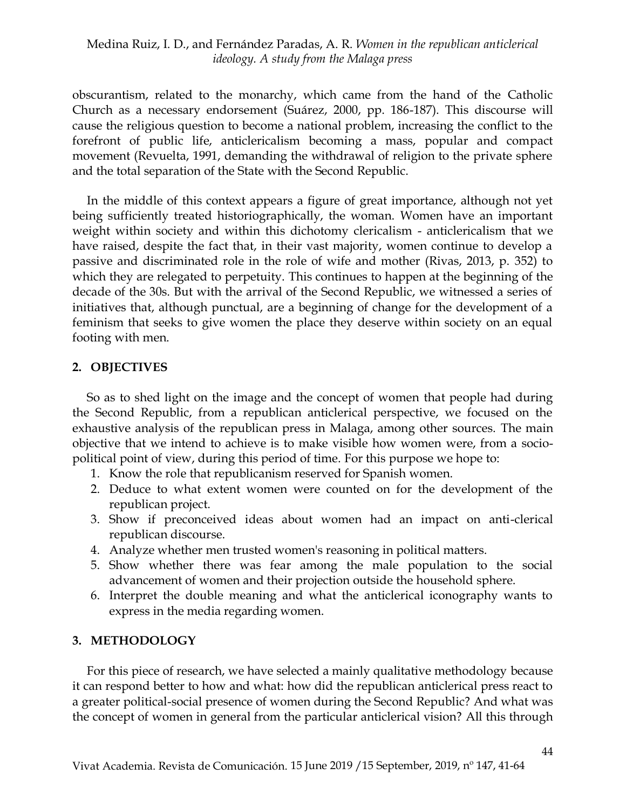obscurantism, related to the monarchy, which came from the hand of the Catholic Church as a necessary endorsement (Suárez, 2000, pp. 186-187). This discourse will cause the religious question to become a national problem, increasing the conflict to the forefront of public life, anticlericalism becoming a mass, popular and compact movement (Revuelta, 1991, demanding the withdrawal of religion to the private sphere and the total separation of the State with the Second Republic.

In the middle of this context appears a figure of great importance, although not yet being sufficiently treated historiographically, the woman. Women have an important weight within society and within this dichotomy clericalism - anticlericalism that we have raised, despite the fact that, in their vast majority, women continue to develop a passive and discriminated role in the role of wife and mother (Rivas, 2013, p. 352) to which they are relegated to perpetuity. This continues to happen at the beginning of the decade of the 30s. But with the arrival of the Second Republic, we witnessed a series of initiatives that, although punctual, are a beginning of change for the development of a feminism that seeks to give women the place they deserve within society on an equal footing with men.

## **2. OBJECTIVES**

So as to shed light on the image and the concept of women that people had during the Second Republic, from a republican anticlerical perspective, we focused on the exhaustive analysis of the republican press in Malaga, among other sources. The main objective that we intend to achieve is to make visible how women were, from a sociopolitical point of view, during this period of time. For this purpose we hope to:

- 1. Know the role that republicanism reserved for Spanish women.
- 2. Deduce to what extent women were counted on for the development of the republican project.
- 3. Show if preconceived ideas about women had an impact on anti-clerical republican discourse.
- 4. Analyze whether men trusted women's reasoning in political matters.
- 5. Show whether there was fear among the male population to the social advancement of women and their projection outside the household sphere.
- 6. Interpret the double meaning and what the anticlerical iconography wants to express in the media regarding women.

## **3. METHODOLOGY**

For this piece of research, we have selected a mainly qualitative methodology because it can respond better to how and what: how did the republican anticlerical press react to a greater political-social presence of women during the Second Republic? And what was the concept of women in general from the particular anticlerical vision? All this through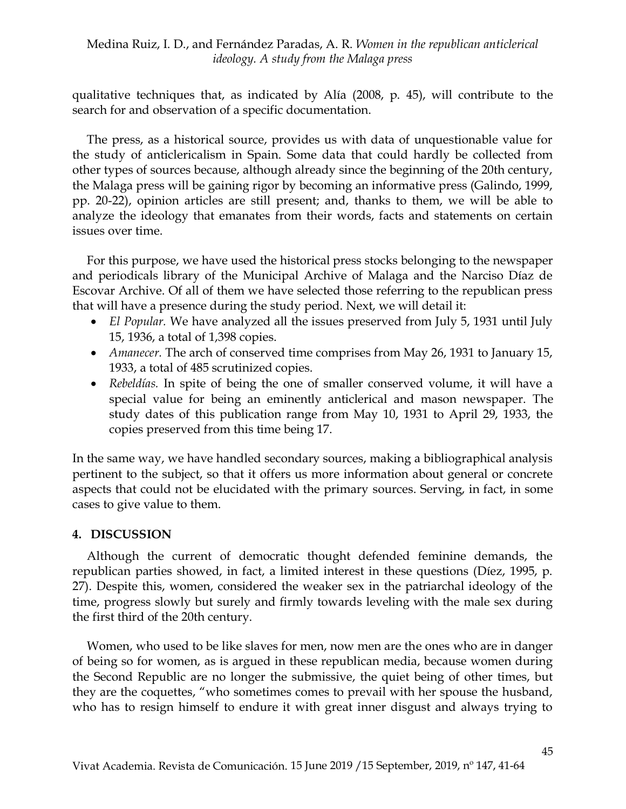qualitative techniques that, as indicated by Alía (2008, p. 45), will contribute to the search for and observation of a specific documentation.

The press, as a historical source, provides us with data of unquestionable value for the study of anticlericalism in Spain. Some data that could hardly be collected from other types of sources because, although already since the beginning of the 20th century, the Malaga press will be gaining rigor by becoming an informative press (Galindo, 1999, pp. 20-22), opinion articles are still present; and, thanks to them, we will be able to analyze the ideology that emanates from their words, facts and statements on certain issues over time.

For this purpose, we have used the historical press stocks belonging to the newspaper and periodicals library of the Municipal Archive of Malaga and the Narciso Díaz de Escovar Archive. Of all of them we have selected those referring to the republican press that will have a presence during the study period. Next, we will detail it:

- *El Popular.* We have analyzed all the issues preserved from July 5, 1931 until July 15, 1936, a total of 1,398 copies.
- *Amanecer.* The arch of conserved time comprises from May 26, 1931 to January 15, 1933, a total of 485 scrutinized copies.
- *Rebeldías.* In spite of being the one of smaller conserved volume, it will have a special value for being an eminently anticlerical and mason newspaper. The study dates of this publication range from May 10, 1931 to April 29, 1933, the copies preserved from this time being 17.

In the same way, we have handled secondary sources, making a bibliographical analysis pertinent to the subject, so that it offers us more information about general or concrete aspects that could not be elucidated with the primary sources. Serving, in fact, in some cases to give value to them.

#### **4. DISCUSSION**

Although the current of democratic thought defended feminine demands, the republican parties showed, in fact, a limited interest in these questions (Díez, 1995, p. 27). Despite this, women, considered the weaker sex in the patriarchal ideology of the time, progress slowly but surely and firmly towards leveling with the male sex during the first third of the 20th century.

Women, who used to be like slaves for men, now men are the ones who are in danger of being so for women, as is argued in these republican media, because women during the Second Republic are no longer the submissive, the quiet being of other times, but they are the coquettes, "who sometimes comes to prevail with her spouse the husband, who has to resign himself to endure it with great inner disgust and always trying to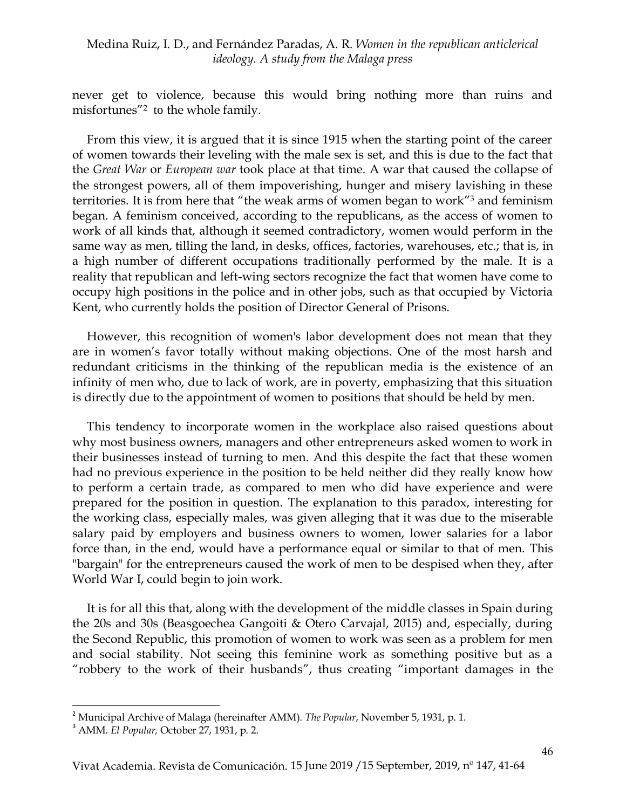never get to violence, because this would bring nothing more than ruins and misfortunes" 2 to the whole family.

From this view, it is argued that it is since 1915 when the starting point of the career of women towards their leveling with the male sex is set, and this is due to the fact that the *Great War* or *European war* took place at that time*.* A war that caused the collapse of the strongest powers, all of them impoverishing, hunger and misery lavishing in these territories. It is from here that "the weak arms of women began to work" <sup>3</sup> and feminism began. A feminism conceived, according to the republicans, as the access of women to work of all kinds that, although it seemed contradictory, women would perform in the same way as men, tilling the land, in desks, offices, factories, warehouses, etc.; that is, in a high number of different occupations traditionally performed by the male. It is a reality that republican and left-wing sectors recognize the fact that women have come to occupy high positions in the police and in other jobs, such as that occupied by Victoria Kent, who currently holds the position of Director General of Prisons.

However, this recognition of women's labor development does not mean that they are in women's favor totally without making objections. One of the most harsh and redundant criticisms in the thinking of the republican media is the existence of an infinity of men who, due to lack of work, are in poverty, emphasizing that this situation is directly due to the appointment of women to positions that should be held by men.

This tendency to incorporate women in the workplace also raised questions about why most business owners, managers and other entrepreneurs asked women to work in their businesses instead of turning to men. And this despite the fact that these women had no previous experience in the position to be held neither did they really know how to perform a certain trade, as compared to men who did have experience and were prepared for the position in question. The explanation to this paradox, interesting for the working class, especially males, was given alleging that it was due to the miserable salary paid by employers and business owners to women, lower salaries for a labor force than, in the end, would have a performance equal or similar to that of men. This "bargain" for the entrepreneurs caused the work of men to be despised when they, after World War I, could begin to join work.

It is for all this that, along with the development of the middle classes in Spain during the 20s and 30s (Beasgoechea Gangoiti & Otero Carvajal, 2015) and, especially, during the Second Republic, this promotion of women to work was seen as a problem for men and social stability. Not seeing this feminine work as something positive but as a "robbery to the work of their husbands", thus creating "important damages in the

 $\ddot{\phantom{a}}$ 

<sup>2</sup> Municipal Archive of Malaga (hereinafter AMM). *The Popular*, November 5, 1931, p. 1.

<sup>3</sup> AMM. *El Popular,* October 27, 1931, p. 2.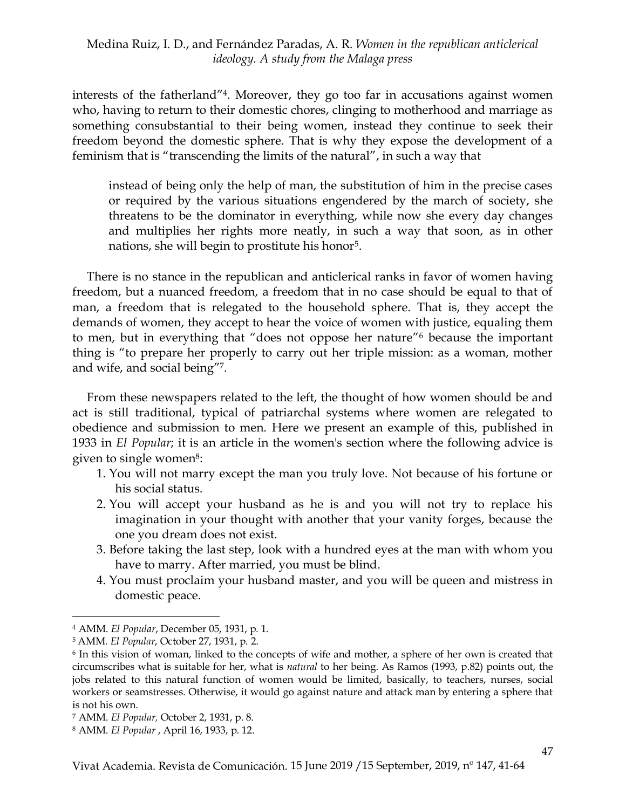interests of the fatherland" 4 . Moreover, they go too far in accusations against women who, having to return to their domestic chores, clinging to motherhood and marriage as something consubstantial to their being women, instead they continue to seek their freedom beyond the domestic sphere. That is why they expose the development of a feminism that is "transcending the limits of the natural", in such a way that

instead of being only the help of man, the substitution of him in the precise cases or required by the various situations engendered by the march of society, she threatens to be the dominator in everything, while now she every day changes and multiplies her rights more neatly, in such a way that soon, as in other nations, she will begin to prostitute his honor<sup>5</sup>.

There is no stance in the republican and anticlerical ranks in favor of women having freedom, but a nuanced freedom, a freedom that in no case should be equal to that of man, a freedom that is relegated to the household sphere. That is, they accept the demands of women, they accept to hear the voice of women with justice, equaling them to men, but in everything that "does not oppose her nature" <sup>6</sup> because the important thing is "to prepare her properly to carry out her triple mission: as a woman, mother and wife, and social being" 7 .

From these newspapers related to the left, the thought of how women should be and act is still traditional, typical of patriarchal systems where women are relegated to obedience and submission to men. Here we present an example of this, published in 1933 in *El Popular*; it is an article in the women's section where the following advice is given to single women<sup>8</sup>:

- 1. You will not marry except the man you truly love. Not because of his fortune or his social status.
- 2. You will accept your husband as he is and you will not try to replace his imagination in your thought with another that your vanity forges, because the one you dream does not exist.
- 3. Before taking the last step, look with a hundred eyes at the man with whom you have to marry. After married, you must be blind.
- 4. You must proclaim your husband master, and you will be queen and mistress in domestic peace.

1

<sup>4</sup> AMM. *El Popular*, December 05, 1931, p. 1.

<sup>5</sup> AMM*. El Popular*, October 27, 1931, p. 2.

<sup>6</sup> In this vision of woman, linked to the concepts of wife and mother, a sphere of her own is created that circumscribes what is suitable for her, what is *natural* to her being. As Ramos (1993, p.82) points out, the jobs related to this natural function of women would be limited, basically, to teachers, nurses, social workers or seamstresses. Otherwise, it would go against nature and attack man by entering a sphere that is not his own.

<sup>7</sup> AMM. *El Popular,* October 2, 1931, p. 8.

<sup>8</sup> AMM. *El Popular* , April 16, 1933, p. 12.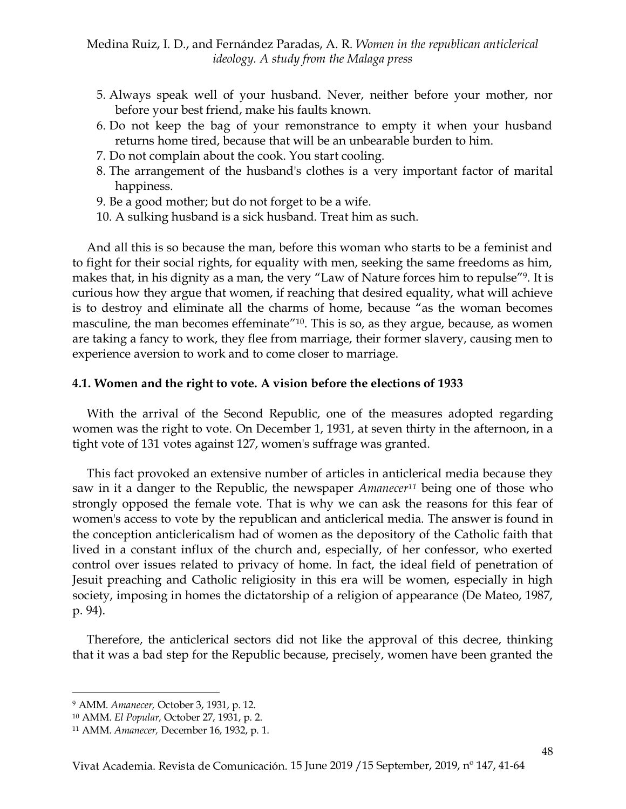- 5. Always speak well of your husband. Never, neither before your mother, nor before your best friend, make his faults known.
- 6. Do not keep the bag of your remonstrance to empty it when your husband returns home tired, because that will be an unbearable burden to him.
- 7. Do not complain about the cook. You start cooling.
- 8. The arrangement of the husband's clothes is a very important factor of marital happiness.
- 9. Be a good mother; but do not forget to be a wife.
- 10. A sulking husband is a sick husband. Treat him as such.

And all this is so because the man, before this woman who starts to be a feminist and to fight for their social rights, for equality with men, seeking the same freedoms as him, makes that, in his dignity as a man, the very "Law of Nature forces him to repulse" 9 . It is curious how they argue that women, if reaching that desired equality, what will achieve is to destroy and eliminate all the charms of home, because "as the woman becomes masculine, the man becomes effeminate<sup>"10</sup>. This is so, as they argue, because, as women are taking a fancy to work, they flee from marriage, their former slavery, causing men to experience aversion to work and to come closer to marriage.

#### **4.1. Women and the right to vote. A vision before the elections of 1933**

With the arrival of the Second Republic, one of the measures adopted regarding women was the right to vote. On December 1, 1931, at seven thirty in the afternoon, in a tight vote of 131 votes against 127, women's suffrage was granted.

This fact provoked an extensive number of articles in anticlerical media because they saw in it a danger to the Republic, the newspaper *Amanecer<sup>11</sup>* being one of those who strongly opposed the female vote. That is why we can ask the reasons for this fear of women's access to vote by the republican and anticlerical media. The answer is found in the conception anticlericalism had of women as the depository of the Catholic faith that lived in a constant influx of the church and, especially, of her confessor, who exerted control over issues related to privacy of home. In fact, the ideal field of penetration of Jesuit preaching and Catholic religiosity in this era will be women, especially in high society, imposing in homes the dictatorship of a religion of appearance (De Mateo, 1987, p. 94).

Therefore, the anticlerical sectors did not like the approval of this decree, thinking that it was a bad step for the Republic because, precisely, women have been granted the

<sup>9</sup> AMM. *Amanecer,* October 3, 1931, p. 12.

<sup>10</sup> AMM. *El Popular,* October 27, 1931, p. 2.

<sup>11</sup> AMM. *Amanecer,* December 16, 1932, p. 1.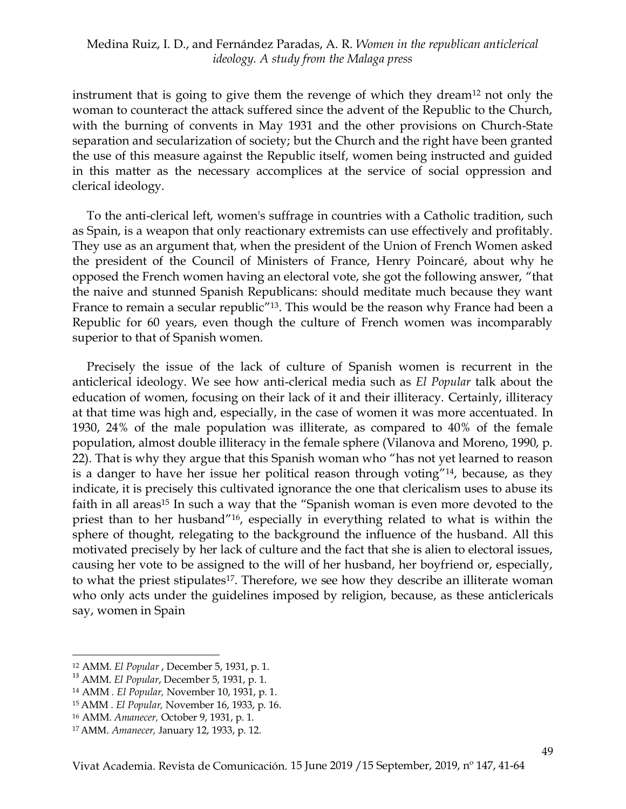instrument that is going to give them the revenge of which they dream<sup>12</sup> not only the woman to counteract the attack suffered since the advent of the Republic to the Church, with the burning of convents in May 1931 and the other provisions on Church-State separation and secularization of society; but the Church and the right have been granted the use of this measure against the Republic itself, women being instructed and guided in this matter as the necessary accomplices at the service of social oppression and clerical ideology.

To the anti-clerical left, women's suffrage in countries with a Catholic tradition, such as Spain, is a weapon that only reactionary extremists can use effectively and profitably. They use as an argument that, when the president of the Union of French Women asked the president of the Council of Ministers of France, Henry Poincaré, about why he opposed the French women having an electoral vote, she got the following answer, "that the naive and stunned Spanish Republicans: should meditate much because they want France to remain a secular republic<sup>"13</sup>. This would be the reason why France had been a Republic for 60 years, even though the culture of French women was incomparably superior to that of Spanish women.

Precisely the issue of the lack of culture of Spanish women is recurrent in the anticlerical ideology. We see how anti-clerical media such as *El Popular* talk about the education of women, focusing on their lack of it and their illiteracy. Certainly, illiteracy at that time was high and, especially, in the case of women it was more accentuated. In 1930, 24% of the male population was illiterate, as compared to 40% of the female population, almost double illiteracy in the female sphere (Vilanova and Moreno, 1990, p. 22). That is why they argue that this Spanish woman who "has not yet learned to reason is a danger to have her issue her political reason through voting" <sup>14</sup>, because, as they indicate, it is precisely this cultivated ignorance the one that clericalism uses to abuse its faith in all areas<sup>15</sup> In such a way that the "Spanish woman is even more devoted to the priest than to her husband" <sup>16</sup>, especially in everything related to what is within the sphere of thought, relegating to the background the influence of the husband. All this motivated precisely by her lack of culture and the fact that she is alien to electoral issues, causing her vote to be assigned to the will of her husband, her boyfriend or, especially, to what the priest stipulates<sup>17</sup>. Therefore, we see how they describe an illiterate woman who only acts under the guidelines imposed by religion, because, as these anticlericals say, women in Spain

<sup>12</sup> AMM. *El Popular* , December 5, 1931, p. 1.

<sup>13</sup> AMM. *El Popular*, December 5, 1931, p. 1.

<sup>14</sup> AMM *. El Popular,* November 10, 1931, p. 1.

<sup>15</sup> AMM *. El Popular,* November 16, 1933, p. 16.

<sup>16</sup> AMM. *Amanecer,* October 9, 1931, p. 1.

<sup>17</sup> AMM. *Amanecer,* January 12, 1933, p. 12.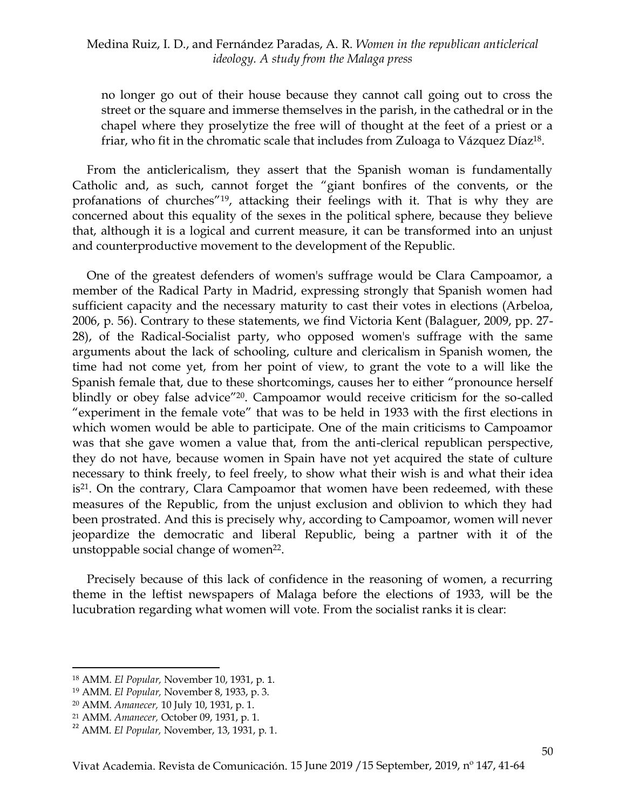no longer go out of their house because they cannot call going out to cross the street or the square and immerse themselves in the parish, in the cathedral or in the chapel where they proselytize the free will of thought at the feet of a priest or a friar, who fit in the chromatic scale that includes from Zuloaga to Vázquez Díaz<sup>18</sup>.

From the anticlericalism, they assert that the Spanish woman is fundamentally Catholic and, as such, cannot forget the "giant bonfires of the convents, or the profanations of churches" 19 , attacking their feelings with it. That is why they are concerned about this equality of the sexes in the political sphere, because they believe that, although it is a logical and current measure, it can be transformed into an unjust and counterproductive movement to the development of the Republic.

One of the greatest defenders of women's suffrage would be Clara Campoamor, a member of the Radical Party in Madrid, expressing strongly that Spanish women had sufficient capacity and the necessary maturity to cast their votes in elections (Arbeloa, 2006, p. 56). Contrary to these statements, we find Victoria Kent (Balaguer, 2009, pp. 27- 28), of the Radical-Socialist party, who opposed women's suffrage with the same arguments about the lack of schooling, culture and clericalism in Spanish women, the time had not come yet, from her point of view, to grant the vote to a will like the Spanish female that, due to these shortcomings, causes her to either "pronounce herself blindly or obey false advice"<sup>20</sup>. Campoamor would receive criticism for the so-called "experiment in the female vote" that was to be held in 1933 with the first elections in which women would be able to participate. One of the main criticisms to Campoamor was that she gave women a value that, from the anti-clerical republican perspective, they do not have, because women in Spain have not yet acquired the state of culture necessary to think freely, to feel freely, to show what their wish is and what their idea is<sup>21</sup>. On the contrary, Clara Campoamor that women have been redeemed, with these measures of the Republic, from the unjust exclusion and oblivion to which they had been prostrated. And this is precisely why, according to Campoamor, women will never jeopardize the democratic and liberal Republic, being a partner with it of the unstoppable social change of women<sup>22</sup>.

Precisely because of this lack of confidence in the reasoning of women, a recurring theme in the leftist newspapers of Malaga before the elections of 1933, will be the lucubration regarding what women will vote. From the socialist ranks it is clear:

<sup>18</sup> AMM. *El Popular,* November 10, 1931, p. 1.

<sup>19</sup> AMM. *El Popular,* November 8, 1933, p. 3.

<sup>20</sup> AMM. *Amanecer,* 10 July 10, 1931, p. 1.

<sup>21</sup> AMM. *Amanecer,* October 09, 1931, p. 1.

<sup>22</sup> AMM. *El Popular,* November, 13, 1931, p. 1.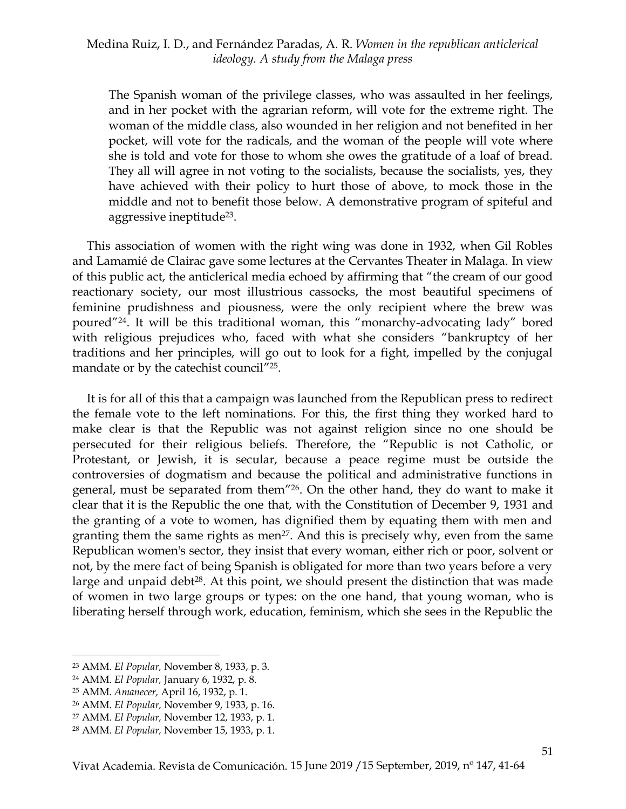The Spanish woman of the privilege classes, who was assaulted in her feelings, and in her pocket with the agrarian reform, will vote for the extreme right. The woman of the middle class, also wounded in her religion and not benefited in her pocket, will vote for the radicals, and the woman of the people will vote where she is told and vote for those to whom she owes the gratitude of a loaf of bread. They all will agree in not voting to the socialists, because the socialists, yes, they have achieved with their policy to hurt those of above, to mock those in the middle and not to benefit those below. A demonstrative program of spiteful and aggressive ineptitude<sup>23</sup>.

This association of women with the right wing was done in 1932, when Gil Robles and Lamamié de Clairac gave some lectures at the Cervantes Theater in Malaga. In view of this public act, the anticlerical media echoed by affirming that "the cream of our good reactionary society, our most illustrious cassocks, the most beautiful specimens of feminine prudishness and piousness, were the only recipient where the brew was poured" 24 . It will be this traditional woman, this "monarchy-advocating lady" bored with religious prejudices who, faced with what she considers "bankruptcy of her traditions and her principles, will go out to look for a fight, impelled by the conjugal mandate or by the catechist council<sup>"25</sup>.

It is for all of this that a campaign was launched from the Republican press to redirect the female vote to the left nominations. For this, the first thing they worked hard to make clear is that the Republic was not against religion since no one should be persecuted for their religious beliefs. Therefore, the "Republic is not Catholic, or Protestant, or Jewish, it is secular, because a peace regime must be outside the controversies of dogmatism and because the political and administrative functions in general, must be separated from them" 26 . On the other hand, they do want to make it clear that it is the Republic the one that, with the Constitution of December 9, 1931 and the granting of a vote to women, has dignified them by equating them with men and granting them the same rights as men<sup>27</sup>. And this is precisely why, even from the same Republican women's sector, they insist that every woman, either rich or poor, solvent or not, by the mere fact of being Spanish is obligated for more than two years before a very large and unpaid debt<sup>28</sup>. At this point, we should present the distinction that was made of women in two large groups or types: on the one hand, that young woman, who is liberating herself through work, education, feminism, which she sees in the Republic the

<sup>23</sup> AMM. *El Popular,* November 8, 1933, p. 3.

<sup>24</sup> AMM. *El Popular,* January 6, 1932, p. 8.

<sup>25</sup> AMM. *Amanecer,* April 16, 1932, p. 1.

<sup>26</sup> AMM. *El Popular,* November 9, 1933, p. 16.

<sup>27</sup> AMM. *El Popular,* November 12, 1933, p. 1.

<sup>28</sup> AMM. *El Popular,* November 15, 1933, p. 1.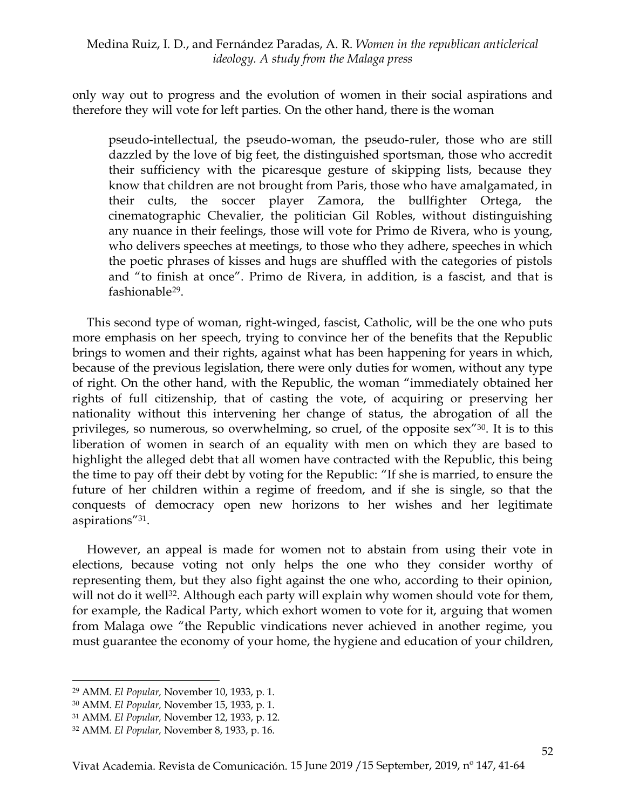only way out to progress and the evolution of women in their social aspirations and therefore they will vote for left parties. On the other hand, there is the woman

pseudo-intellectual, the pseudo-woman, the pseudo-ruler, those who are still dazzled by the love of big feet, the distinguished sportsman, those who accredit their sufficiency with the picaresque gesture of skipping lists, because they know that children are not brought from Paris, those who have amalgamated, in their cults, the soccer player Zamora, the bullfighter Ortega, the cinematographic Chevalier, the politician Gil Robles, without distinguishing any nuance in their feelings, those will vote for Primo de Rivera, who is young, who delivers speeches at meetings, to those who they adhere, speeches in which the poetic phrases of kisses and hugs are shuffled with the categories of pistols and "to finish at once". Primo de Rivera, in addition, is a fascist, and that is fashionable<sup>29</sup> .

This second type of woman, right-winged, fascist, Catholic, will be the one who puts more emphasis on her speech, trying to convince her of the benefits that the Republic brings to women and their rights, against what has been happening for years in which, because of the previous legislation, there were only duties for women, without any type of right. On the other hand, with the Republic, the woman "immediately obtained her rights of full citizenship, that of casting the vote, of acquiring or preserving her nationality without this intervening her change of status, the abrogation of all the privileges, so numerous, so overwhelming, so cruel, of the opposite sex<sup>"30</sup>. It is to this liberation of women in search of an equality with men on which they are based to highlight the alleged debt that all women have contracted with the Republic, this being the time to pay off their debt by voting for the Republic: "If she is married, to ensure the future of her children within a regime of freedom, and if she is single, so that the conquests of democracy open new horizons to her wishes and her legitimate aspirations" 31 .

However, an appeal is made for women not to abstain from using their vote in elections, because voting not only helps the one who they consider worthy of representing them, but they also fight against the one who, according to their opinion, will not do it well<sup>32</sup>. Although each party will explain why women should vote for them, for example, the Radical Party, which exhort women to vote for it, arguing that women from Malaga owe "the Republic vindications never achieved in another regime, you must guarantee the economy of your home, the hygiene and education of your children,

 $\ddot{\phantom{a}}$ <sup>29</sup> AMM. *El Popular,* November 10, 1933, p. 1.

<sup>30</sup> AMM. *El Popular,* November 15, 1933, p. 1.

<sup>31</sup> AMM. *El Popular,* November 12, 1933, p. 12.

<sup>32</sup> AMM. *El Popular,* November 8, 1933, p. 16.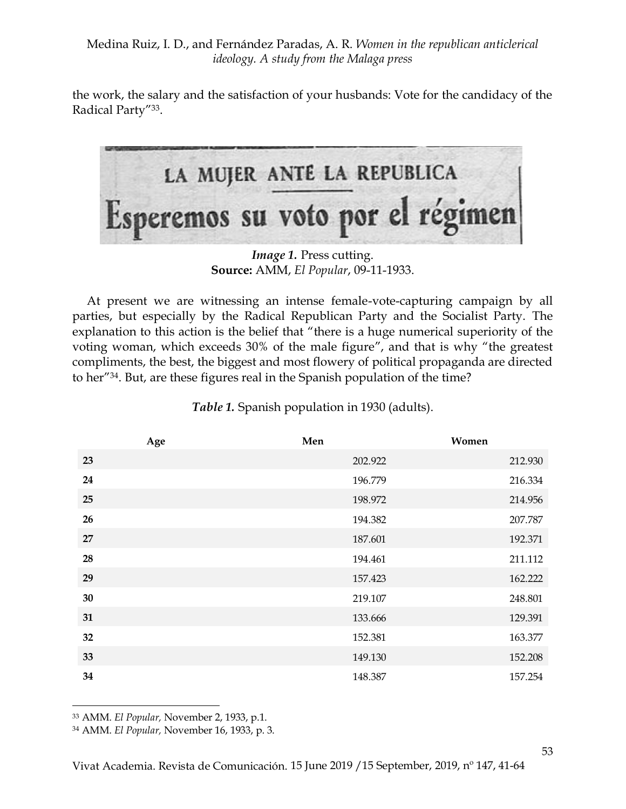the work, the salary and the satisfaction of your husbands: Vote for the candidacy of the Radical Party"<sup>33</sup>.



*Image 1.* Press cutting. **Source:** AMM, *El Popular*, 09-11-1933.

At present we are witnessing an intense female-vote-capturing campaign by all parties, but especially by the Radical Republican Party and the Socialist Party. The explanation to this action is the belief that "there is a huge numerical superiority of the voting woman, which exceeds 30% of the male figure", and that is why "the greatest compliments, the best, the biggest and most flowery of political propaganda are directed to her" 34 . But, are these figures real in the Spanish population of the time?

|    | Age | Men     | Women   |
|----|-----|---------|---------|
| 23 |     | 202.922 | 212.930 |
| 24 |     | 196.779 | 216.334 |
| 25 |     | 198.972 | 214.956 |
| 26 |     | 194.382 | 207.787 |
| 27 |     | 187.601 | 192.371 |
| 28 |     | 194.461 | 211.112 |
| 29 |     | 157.423 | 162.222 |
| 30 |     | 219.107 | 248.801 |
| 31 |     | 133.666 | 129.391 |
| 32 |     | 152.381 | 163.377 |
| 33 |     | 149.130 | 152.208 |
| 34 |     | 148.387 | 157.254 |

*Table 1.* Spanish population in 1930 (adults).

 $\ddot{\phantom{a}}$ 

<sup>34</sup> AMM. *El Popular,* November 16, 1933, p. 3.

<sup>33</sup> AMM. *El Popular,* November 2, 1933, p.1.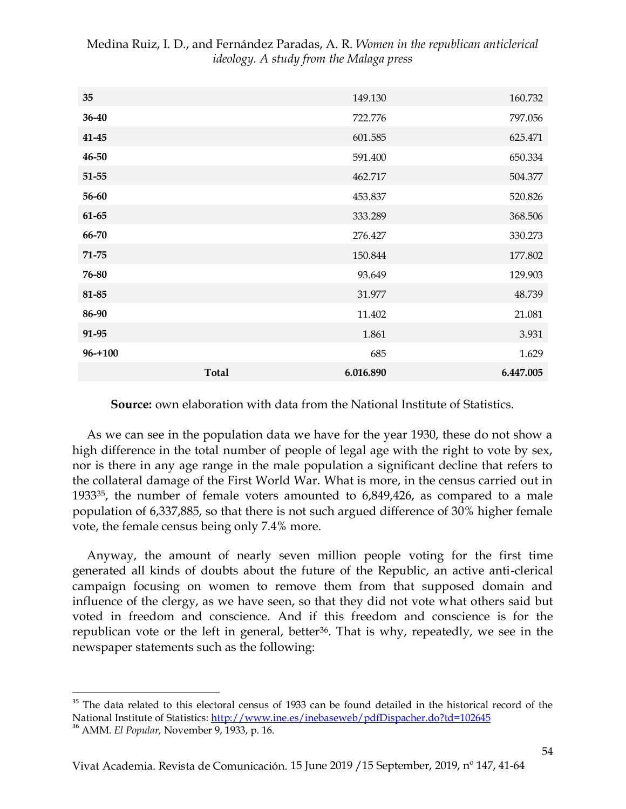| 35          |              | 149.130   | 160.732   |
|-------------|--------------|-----------|-----------|
| 36-40       |              | 722.776   | 797.056   |
| $41 - 45$   |              | 601.585   | 625.471   |
| 46-50       |              | 591.400   | 650.334   |
| 51-55       |              | 462.717   | 504.377   |
| 56-60       |              | 453.837   | 520.826   |
| $61 - 65$   |              | 333.289   | 368.506   |
| 66-70       |              | 276.427   | 330.273   |
| $71 - 75$   |              | 150.844   | 177.802   |
| 76-80       |              | 93.649    | 129.903   |
| 81-85       |              | 31.977    | 48.739    |
| 86-90       |              | 11.402    | 21.081    |
| 91-95       |              | 1.861     | 3.931     |
| $96 - +100$ |              | 685       | 1.629     |
|             | <b>Total</b> | 6.016.890 | 6.447.005 |

**Source:** own elaboration with data from the National Institute of Statistics.

As we can see in the population data we have for the year 1930, these do not show a high difference in the total number of people of legal age with the right to vote by sex, nor is there in any age range in the male population a significant decline that refers to the collateral damage of the First World War. What is more, in the census carried out in 1933<sup>35</sup>, the number of female voters amounted to 6,849,426, as compared to a male population of 6,337,885, so that there is not such argued difference of 30% higher female vote, the female census being only 7.4% more.

Anyway, the amount of nearly seven million people voting for the first time generated all kinds of doubts about the future of the Republic, an active anti-clerical campaign focusing on women to remove them from that supposed domain and influence of the clergy, as we have seen, so that they did not vote what others said but voted in freedom and conscience. And if this freedom and conscience is for the republican vote or the left in general, better<sup>36</sup>. That is why, repeatedly, we see in the newspaper statements such as the following:

<sup>&</sup>lt;sup>35</sup> The data related to this electoral census of 1933 can be found detailed in the historical record of the National Institute of Statistics[: http://www.ine.es/inebaseweb/pdfDispacher.do?td=102645](https://translate.google.com/translate?hl=es&prev=_t&sl=es&tl=en&u=http://www.ine.es/inebaseweb/pdfDispacher.do%3Ftd%3D102645)

<sup>36</sup> AMM. *El Popular,* November 9, 1933, p. 16.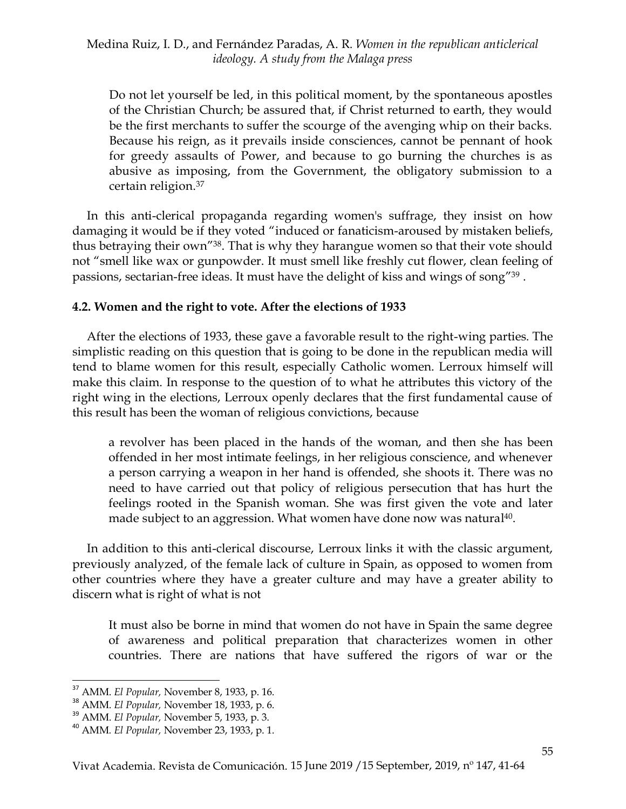Do not let yourself be led, in this political moment, by the spontaneous apostles of the Christian Church; be assured that, if Christ returned to earth, they would be the first merchants to suffer the scourge of the avenging whip on their backs. Because his reign, as it prevails inside consciences, cannot be pennant of hook for greedy assaults of Power, and because to go burning the churches is as abusive as imposing, from the Government, the obligatory submission to a certain religion. 37

In this anti-clerical propaganda regarding women's suffrage, they insist on how damaging it would be if they voted "induced or fanaticism-aroused by mistaken beliefs, thus betraying their own<sup>"38</sup>. That is why they harangue women so that their vote should not "smell like wax or gunpowder. It must smell like freshly cut flower, clean feeling of passions, sectarian-free ideas. It must have the delight of kiss and wings of song" 39 .

## **4.2. Women and the right to vote. After the elections of 1933**

After the elections of 1933, these gave a favorable result to the right-wing parties. The simplistic reading on this question that is going to be done in the republican media will tend to blame women for this result, especially Catholic women. Lerroux himself will make this claim. In response to the question of to what he attributes this victory of the right wing in the elections, Lerroux openly declares that the first fundamental cause of this result has been the woman of religious convictions, because

a revolver has been placed in the hands of the woman, and then she has been offended in her most intimate feelings, in her religious conscience, and whenever a person carrying a weapon in her hand is offended, she shoots it. There was no need to have carried out that policy of religious persecution that has hurt the feelings rooted in the Spanish woman. She was first given the vote and later made subject to an aggression. What women have done now was natural 40 .

In addition to this anti-clerical discourse, Lerroux links it with the classic argument, previously analyzed, of the female lack of culture in Spain, as opposed to women from other countries where they have a greater culture and may have a greater ability to discern what is right of what is not

It must also be borne in mind that women do not have in Spain the same degree of awareness and political preparation that characterizes women in other countries. There are nations that have suffered the rigors of war or the

 $\ddot{\phantom{a}}$ <sup>37</sup> AMM. *El Popular,* November 8, 1933, p. 16.

<sup>38</sup> AMM. *El Popular,* November 18, 1933, p. 6.

<sup>39</sup> AMM. *El Popular,* November 5, 1933, p. 3.

<sup>40</sup> AMM*. El Popular,* November 23, 1933, p. 1.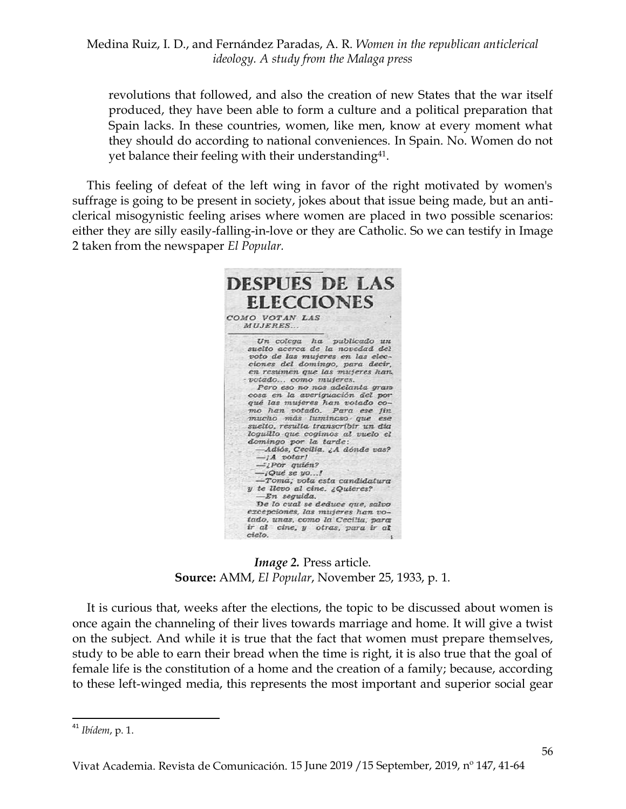revolutions that followed, and also the creation of new States that the war itself produced, they have been able to form a culture and a political preparation that Spain lacks. In these countries, women, like men, know at every moment what they should do according to national conveniences. In Spain. No. Women do not yet balance their feeling with their understanding<sup>41</sup>.

This feeling of defeat of the left wing in favor of the right motivated by women's suffrage is going to be present in society, jokes about that issue being made, but an anticlerical misogynistic feeling arises where women are placed in two possible scenarios: either they are silly easily-falling-in-love or they are Catholic. So we can testify in Image 2 taken from the newspaper *El Popular.*



*Image 2. Press article.* **Source:** AMM, *El Popular*, November 25, 1933, p. 1.

It is curious that, weeks after the elections, the topic to be discussed about women is once again the channeling of their lives towards marriage and home. It will give a twist on the subject. And while it is true that the fact that women must prepare themselves, study to be able to earn their bread when the time is right, it is also true that the goal of female life is the constitution of a home and the creation of a family; because, according to these left-winged media, this represents the most important and superior social gear

1

<sup>41</sup> *Ibídem*, p. 1.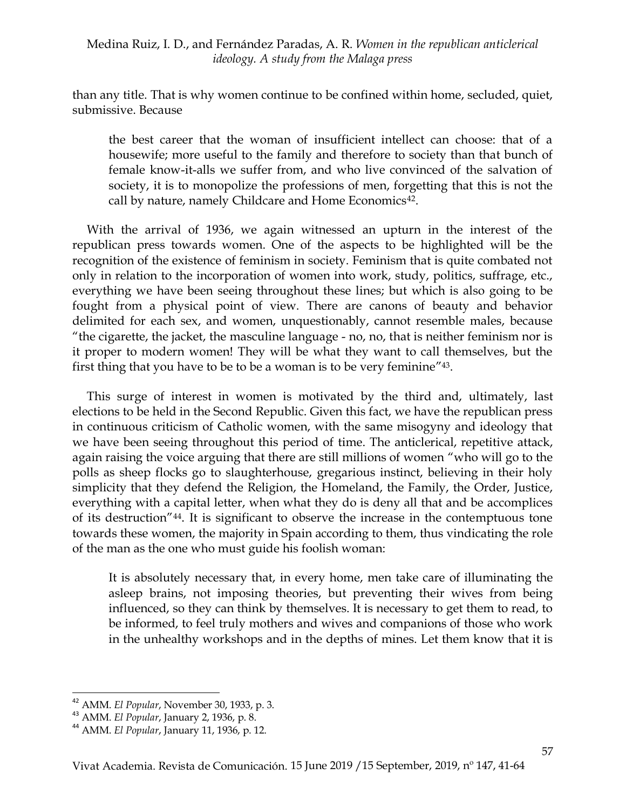than any title. That is why women continue to be confined within home, secluded, quiet, submissive. Because

the best career that the woman of insufficient intellect can choose: that of a housewife; more useful to the family and therefore to society than that bunch of female know-it-alls we suffer from, and who live convinced of the salvation of society, it is to monopolize the professions of men, forgetting that this is not the call by nature, namely Childcare and Home Economics<sup>42</sup>.

With the arrival of 1936, we again witnessed an upturn in the interest of the republican press towards women. One of the aspects to be highlighted will be the recognition of the existence of feminism in society. Feminism that is quite combated not only in relation to the incorporation of women into work, study, politics, suffrage, etc., everything we have been seeing throughout these lines; but which is also going to be fought from a physical point of view. There are canons of beauty and behavior delimited for each sex, and women, unquestionably, cannot resemble males, because "the cigarette, the jacket, the masculine language - no, no, that is neither feminism nor is it proper to modern women! They will be what they want to call themselves, but the first thing that you have to be to be a woman is to be very feminine<sup>"43</sup>.

This surge of interest in women is motivated by the third and, ultimately, last elections to be held in the Second Republic. Given this fact, we have the republican press in continuous criticism of Catholic women, with the same misogyny and ideology that we have been seeing throughout this period of time. The anticlerical, repetitive attack, again raising the voice arguing that there are still millions of women "who will go to the polls as sheep flocks go to slaughterhouse, gregarious instinct, believing in their holy simplicity that they defend the Religion, the Homeland, the Family, the Order, Justice, everything with a capital letter, when what they do is deny all that and be accomplices of its destruction" 44 . It is significant to observe the increase in the contemptuous tone towards these women, the majority in Spain according to them, thus vindicating the role of the man as the one who must guide his foolish woman:

It is absolutely necessary that, in every home, men take care of illuminating the asleep brains, not imposing theories, but preventing their wives from being influenced, so they can think by themselves. It is necessary to get them to read, to be informed, to feel truly mothers and wives and companions of those who work in the unhealthy workshops and in the depths of mines. Let them know that it is

<sup>42</sup> AMM. *El Popular*, November 30, 1933, p. 3.

<sup>43</sup> AMM. *El Popular*, January 2, 1936, p. 8.

<sup>44</sup> AMM. *El Popular*, January 11, 1936, p. 12.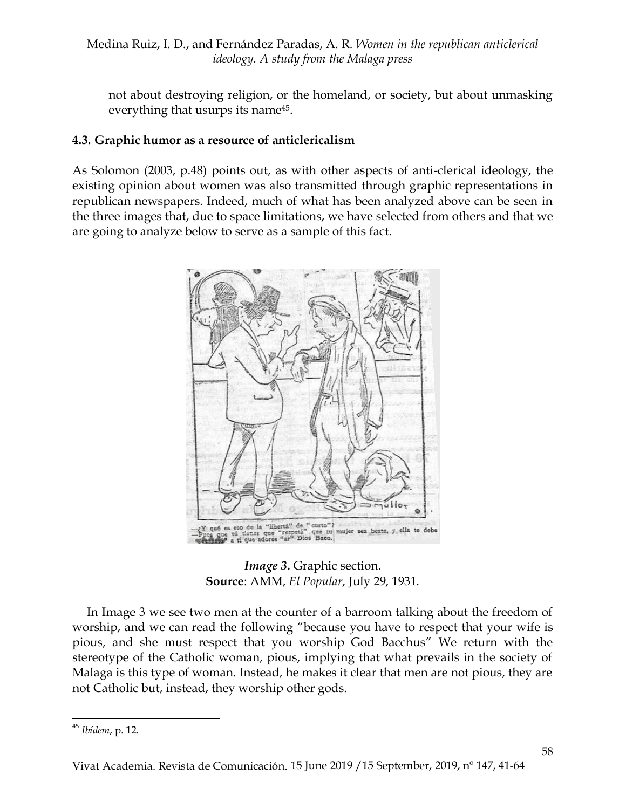not about destroying religion, or the homeland, or society, but about unmasking everything that usurps its name<sup>45</sup>.

# **4.3. Graphic humor as a resource of anticlericalism**

As Solomon (2003, p.48) points out, as with other aspects of anti-clerical ideology, the existing opinion about women was also transmitted through graphic representations in republican newspapers. Indeed, much of what has been analyzed above can be seen in the three images that, due to space limitations, we have selected from others and that we are going to analyze below to serve as a sample of this fact.



*Image* 3. Graphic section. **Source**: AMM, *El Popular*, July 29, 1931.

In Image 3 we see two men at the counter of a barroom talking about the freedom of worship, and we can read the following "because you have to respect that your wife is pious, and she must respect that you worship God Bacchus" We return with the stereotype of the Catholic woman, pious, implying that what prevails in the society of Malaga is this type of woman. Instead, he makes it clear that men are not pious, they are not Catholic but, instead, they worship other gods.

<sup>1</sup> <sup>45</sup> *Ibídem*, p. 12.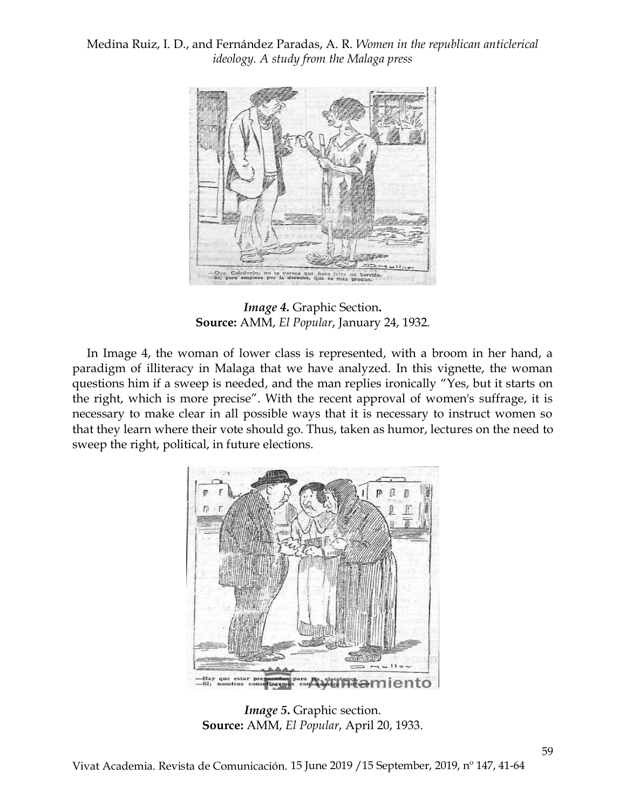

*Image 4***.** Graphic Section**. Source:** AMM, *El Popular*, January 24, 1932.

In Image 4, the woman of lower class is represented, with a broom in her hand, a paradigm of illiteracy in Malaga that we have analyzed. In this vignette, the woman questions him if a sweep is needed, and the man replies ironically "Yes, but it starts on the right, which is more precise". With the recent approval of women's suffrage, it is necessary to make clear in all possible ways that it is necessary to instruct women so that they learn where their vote should go. Thus, taken as humor, lectures on the need to sweep the right, political, in future elections.



*Image 5***.** Graphic section. **Source:** AMM, *El Popular*, April 20, 1933.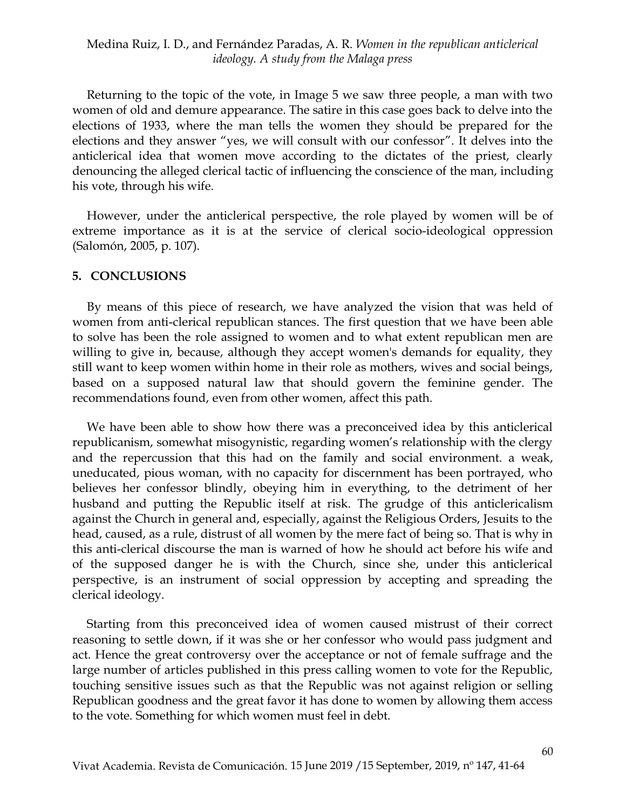Returning to the topic of the vote, in Image 5 we saw three people, a man with two women of old and demure appearance. The satire in this case goes back to delve into the elections of 1933, where the man tells the women they should be prepared for the elections and they answer "yes, we will consult with our confessor". It delves into the anticlerical idea that women move according to the dictates of the priest, clearly denouncing the alleged clerical tactic of influencing the conscience of the man, including his vote, through his wife.

However, under the anticlerical perspective, the role played by women will be of extreme importance as it is at the service of clerical socio-ideological oppression (Salomón, 2005, p. 107).

#### **5. CONCLUSIONS**

By means of this piece of research, we have analyzed the vision that was held of women from anti-clerical republican stances. The first question that we have been able to solve has been the role assigned to women and to what extent republican men are willing to give in, because, although they accept women's demands for equality, they still want to keep women within home in their role as mothers, wives and social beings, based on a supposed natural law that should govern the feminine gender. The recommendations found, even from other women, affect this path.

We have been able to show how there was a preconceived idea by this anticlerical republicanism, somewhat misogynistic, regarding women's relationship with the clergy and the repercussion that this had on the family and social environment. a weak, uneducated, pious woman, with no capacity for discernment has been portrayed, who believes her confessor blindly, obeying him in everything, to the detriment of her husband and putting the Republic itself at risk. The grudge of this anticlericalism against the Church in general and, especially, against the Religious Orders, Jesuits to the head, caused, as a rule, distrust of all women by the mere fact of being so. That is why in this anti-clerical discourse the man is warned of how he should act before his wife and of the supposed danger he is with the Church, since she, under this anticlerical perspective, is an instrument of social oppression by accepting and spreading the clerical ideology.

Starting from this preconceived idea of women caused mistrust of their correct reasoning to settle down, if it was she or her confessor who would pass judgment and act. Hence the great controversy over the acceptance or not of female suffrage and the large number of articles published in this press calling women to vote for the Republic, touching sensitive issues such as that the Republic was not against religion or selling Republican goodness and the great favor it has done to women by allowing them access to the vote. Something for which women must feel in debt.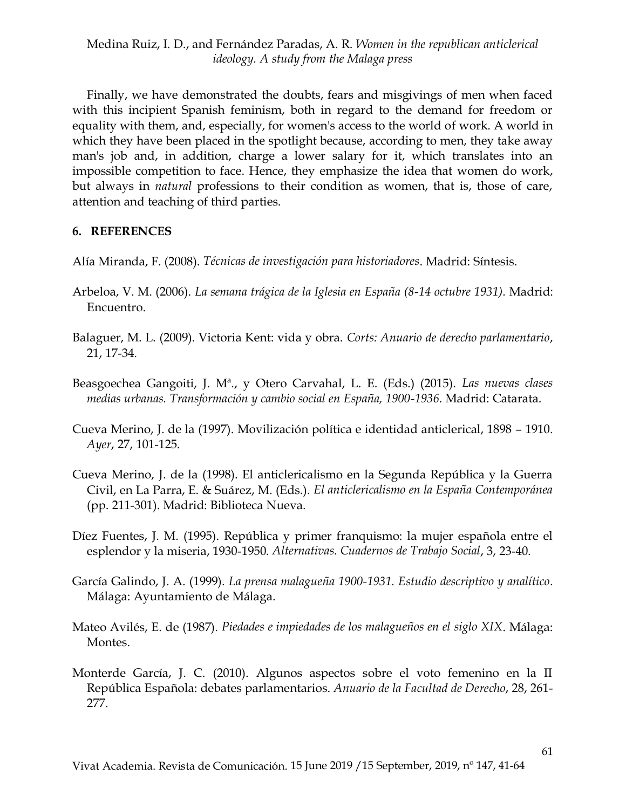Finally, we have demonstrated the doubts, fears and misgivings of men when faced with this incipient Spanish feminism, both in regard to the demand for freedom or equality with them, and, especially, for women's access to the world of work. A world in which they have been placed in the spotlight because, according to men, they take away man's job and, in addition, charge a lower salary for it, which translates into an impossible competition to face. Hence, they emphasize the idea that women do work, but always in *natural* professions to their condition as women, that is, those of care, attention and teaching of third parties.

## **6. REFERENCES**

Alía Miranda, F. (2008). *Técnicas de investigación para historiadores*. Madrid: Síntesis.

- Arbeloa, V. M. (2006). *La semana trágica de la Iglesia en España (8-14 octubre 1931).* Madrid: Encuentro.
- Balaguer, M. L. (2009). Victoria Kent: vida y obra. *Corts: Anuario de derecho parlamentario*, 21, 17-34.
- Beasgoechea Gangoiti, J. Mª., y Otero Carvahal, L. E. (Eds.) (2015). *Las nuevas clases medias urbanas. Transformación y cambio social en España, 1900-1936*. Madrid: Catarata.
- Cueva Merino, J. de la (1997). Movilización política e identidad anticlerical, 1898 1910. *Ayer*, 27, 101-125.
- Cueva Merino, J. de la (1998). El anticlericalismo en la Segunda República y la Guerra Civil, en La Parra, E. & Suárez, M. (Eds.). *El anticlericalismo en la España Contemporánea*  (pp. 211-301). Madrid: Biblioteca Nueva.
- Díez Fuentes, J. M. (1995). República y primer franquismo: la mujer española entre el esplendor y la miseria, 1930-1950. *Alternativas. Cuadernos de Trabajo Social*, 3, 23-40.
- García Galindo, J. A. (1999). *La prensa malagueña 1900-1931. Estudio descriptivo y analítico*. Málaga: Ayuntamiento de Málaga.
- Mateo Avilés, E. de (1987). *Piedades e impiedades de los malagueños en el siglo XIX*. Málaga: Montes.
- Monterde García, J. C. (2010). Algunos aspectos sobre el voto femenino en la II República Española: debates parlamentarios. *Anuario de la Facultad de Derecho*, 28, 261- 277.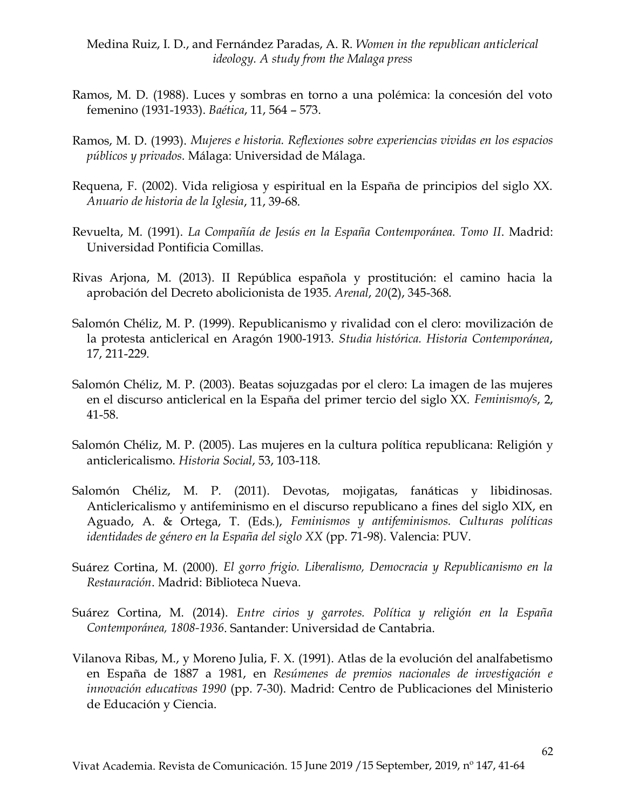- Ramos, M. D. (1988). Luces y sombras en torno a una polémica: la concesión del voto femenino (1931-1933). *Baética*, 11, 564 – 573.
- Ramos, M. D. (1993). *Mujeres e historia. Reflexiones sobre experiencias vividas en los espacios públicos y privados*. Málaga: Universidad de Málaga.
- Requena, F. (2002). Vida religiosa y espiritual en la España de principios del siglo XX. *Anuario de historia de la Iglesia*, 11, 39-68.
- Revuelta, M. (1991). *La Compañía de Jesús en la España Contemporánea. Tomo II*. Madrid: Universidad Pontificia Comillas.
- Rivas Arjona, M. (2013). II República española y prostitución: el camino hacia la aprobación del Decreto abolicionista de 1935. *Arenal*, *20*(2), 345-368.
- Salomón Chéliz, M. P. (1999). Republicanismo y rivalidad con el clero: movilización de la protesta anticlerical en Aragón 1900-1913. *Studia histórica. Historia Contemporánea*, 17, 211-229.
- Salomón Chéliz, M. P. (2003). Beatas sojuzgadas por el clero: La imagen de las mujeres en el discurso anticlerical en la España del primer tercio del siglo XX. *Feminismo/s*, 2, 41-58.
- Salomón Chéliz, M. P. (2005). Las mujeres en la cultura política republicana: Religión y anticlericalismo. *Historia Social*, 53, 103-118.
- Salomón Chéliz, M. P. (2011). Devotas, mojigatas, fanáticas y libidinosas. Anticlericalismo y antifeminismo en el discurso republicano a fines del siglo XIX, en Aguado, A. & Ortega, T. (Eds.), *Feminismos y antifeminismos. Culturas políticas identidades de género en la España del siglo XX* (pp. 71-98). Valencia: PUV.
- Suárez Cortina, M. (2000). *El gorro frigio. Liberalismo, Democracia y Republicanismo en la Restauración*. Madrid: Biblioteca Nueva.
- Suárez Cortina, M. (2014). *Entre cirios y garrotes. Política y religión en la España Contemporánea, 1808-1936*. Santander: Universidad de Cantabria.
- Vilanova Ribas, M., y Moreno Julia, F. X. (1991). Atlas de la evolución del analfabetismo en España de 1887 a 1981, en *Resúmenes de premios nacionales de investigación e innovación educativas 1990* (pp. 7-30). Madrid: Centro de Publicaciones del Ministerio de Educación y Ciencia.